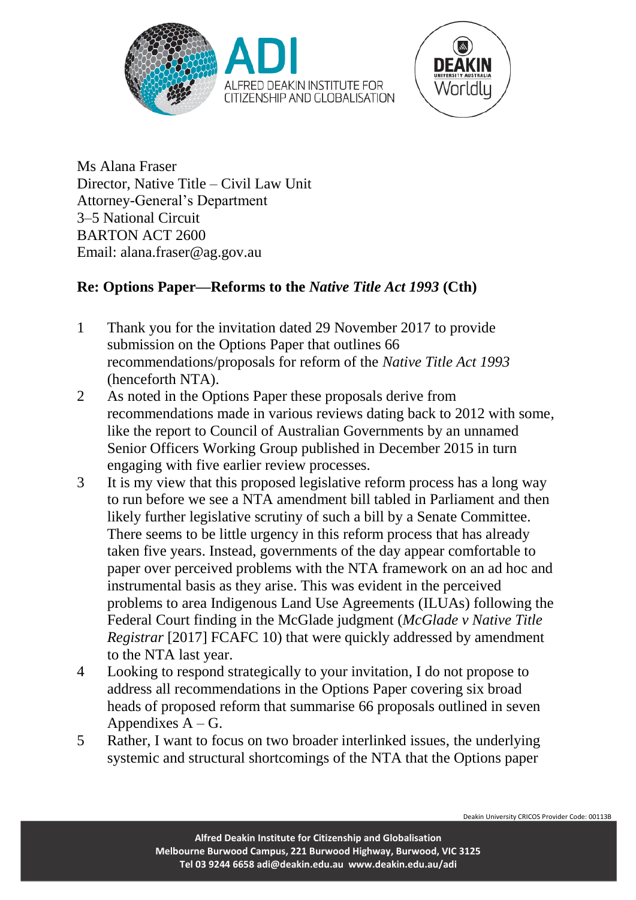



Ms Alana Fraser Director, Native Title – Civil Law Unit Attorney-General's Department 3–5 National Circuit BARTON ACT 2600 Email: alana.fraser@ag.gov.au

# **Re: Options Paper—Reforms to the** *Native Title Act 1993* **(Cth)**

- 1 Thank you for the invitation dated 29 November 2017 to provide submission on the Options Paper that outlines 66 recommendations/proposals for reform of the *Native Title Act 1993* (henceforth NTA).
- 2 As noted in the Options Paper these proposals derive from recommendations made in various reviews dating back to 2012 with some, like the report to Council of Australian Governments by an unnamed Senior Officers Working Group published in December 2015 in turn engaging with five earlier review processes.
- 3 It is my view that this proposed legislative reform process has a long way to run before we see a NTA amendment bill tabled in Parliament and then likely further legislative scrutiny of such a bill by a Senate Committee. There seems to be little urgency in this reform process that has already taken five years. Instead, governments of the day appear comfortable to paper over perceived problems with the NTA framework on an ad hoc and instrumental basis as they arise. This was evident in the perceived problems to area Indigenous Land Use Agreements (ILUAs) following the Federal Court finding in the McGlade judgment (*McGlade v Native Title Registrar* [2017] FCAFC 10) that were quickly addressed by amendment to the NTA last year.
- 4 Looking to respond strategically to your invitation, I do not propose to address all recommendations in the Options Paper covering six broad heads of proposed reform that summarise 66 proposals outlined in seven Appendixes  $A - G$ .
- 5 Rather, I want to focus on two broader interlinked issues, the underlying systemic and structural shortcomings of the NTA that the Options paper

Deakin University CRICOS Provider Code: 00113B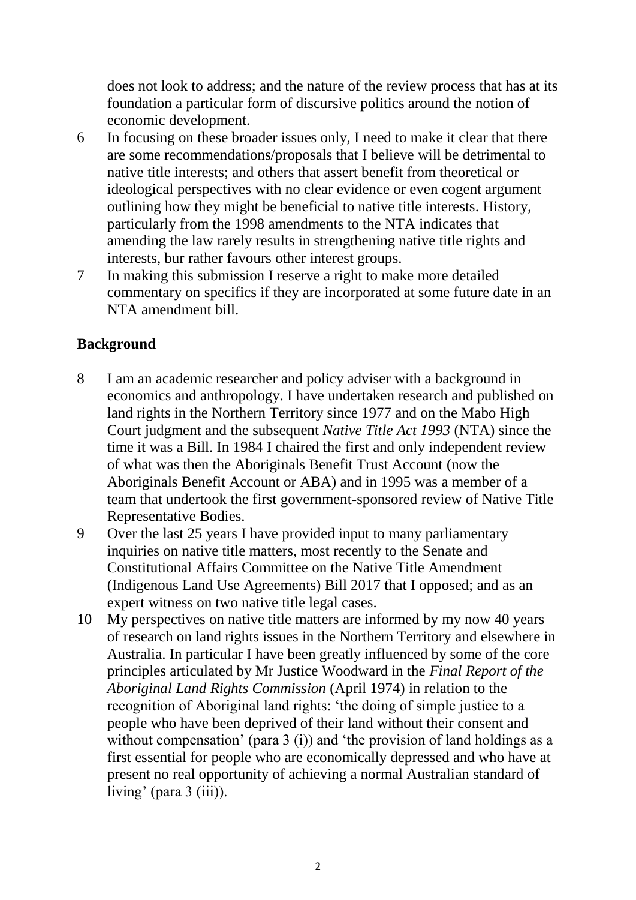does not look to address; and the nature of the review process that has at its foundation a particular form of discursive politics around the notion of economic development.

- 6 In focusing on these broader issues only, I need to make it clear that there are some recommendations/proposals that I believe will be detrimental to native title interests; and others that assert benefit from theoretical or ideological perspectives with no clear evidence or even cogent argument outlining how they might be beneficial to native title interests. History, particularly from the 1998 amendments to the NTA indicates that amending the law rarely results in strengthening native title rights and interests, bur rather favours other interest groups.
- 7 In making this submission I reserve a right to make more detailed commentary on specifics if they are incorporated at some future date in an NTA amendment bill.

## **Background**

- 8 I am an academic researcher and policy adviser with a background in economics and anthropology. I have undertaken research and published on land rights in the Northern Territory since 1977 and on the Mabo High Court judgment and the subsequent *Native Title Act 1993* (NTA) since the time it was a Bill. In 1984 I chaired the first and only independent review of what was then the Aboriginals Benefit Trust Account (now the Aboriginals Benefit Account or ABA) and in 1995 was a member of a team that undertook the first government-sponsored review of Native Title Representative Bodies.
- 9 Over the last 25 years I have provided input to many parliamentary inquiries on native title matters, most recently to the Senate and Constitutional Affairs Committee on the Native Title Amendment (Indigenous Land Use Agreements) Bill 2017 that I opposed; and as an expert witness on two native title legal cases.
- 10 My perspectives on native title matters are informed by my now 40 years of research on land rights issues in the Northern Territory and elsewhere in Australia. In particular I have been greatly influenced by some of the core principles articulated by Mr Justice Woodward in the *Final Report of the Aboriginal Land Rights Commission* (April 1974) in relation to the recognition of Aboriginal land rights: 'the doing of simple justice to a people who have been deprived of their land without their consent and without compensation' (para 3 (i)) and 'the provision of land holdings as a first essential for people who are economically depressed and who have at present no real opportunity of achieving a normal Australian standard of living' (para  $3$  (iii)).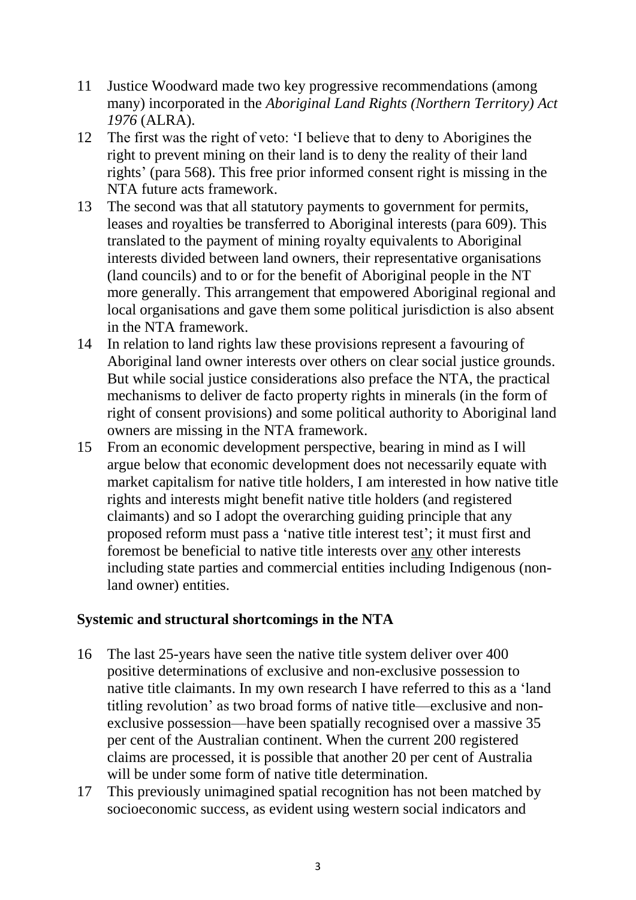- 11 Justice Woodward made two key progressive recommendations (among many) incorporated in the *Aboriginal Land Rights (Northern Territory) Act 1976* (ALRA).
- 12 The first was the right of veto: 'I believe that to deny to Aborigines the right to prevent mining on their land is to deny the reality of their land rights' (para 568). This free prior informed consent right is missing in the NTA future acts framework.
- 13 The second was that all statutory payments to government for permits, leases and royalties be transferred to Aboriginal interests (para 609). This translated to the payment of mining royalty equivalents to Aboriginal interests divided between land owners, their representative organisations (land councils) and to or for the benefit of Aboriginal people in the NT more generally. This arrangement that empowered Aboriginal regional and local organisations and gave them some political jurisdiction is also absent in the NTA framework.
- 14 In relation to land rights law these provisions represent a favouring of Aboriginal land owner interests over others on clear social justice grounds. But while social justice considerations also preface the NTA, the practical mechanisms to deliver de facto property rights in minerals (in the form of right of consent provisions) and some political authority to Aboriginal land owners are missing in the NTA framework.
- 15 From an economic development perspective, bearing in mind as I will argue below that economic development does not necessarily equate with market capitalism for native title holders, I am interested in how native title rights and interests might benefit native title holders (and registered claimants) and so I adopt the overarching guiding principle that any proposed reform must pass a 'native title interest test'; it must first and foremost be beneficial to native title interests over any other interests including state parties and commercial entities including Indigenous (nonland owner) entities.

### **Systemic and structural shortcomings in the NTA**

- 16 The last 25-years have seen the native title system deliver over 400 positive determinations of exclusive and non-exclusive possession to native title claimants. In my own research I have referred to this as a 'land titling revolution' as two broad forms of native title—exclusive and nonexclusive possession—have been spatially recognised over a massive 35 per cent of the Australian continent. When the current 200 registered claims are processed, it is possible that another 20 per cent of Australia will be under some form of native title determination.
- 17 This previously unimagined spatial recognition has not been matched by socioeconomic success, as evident using western social indicators and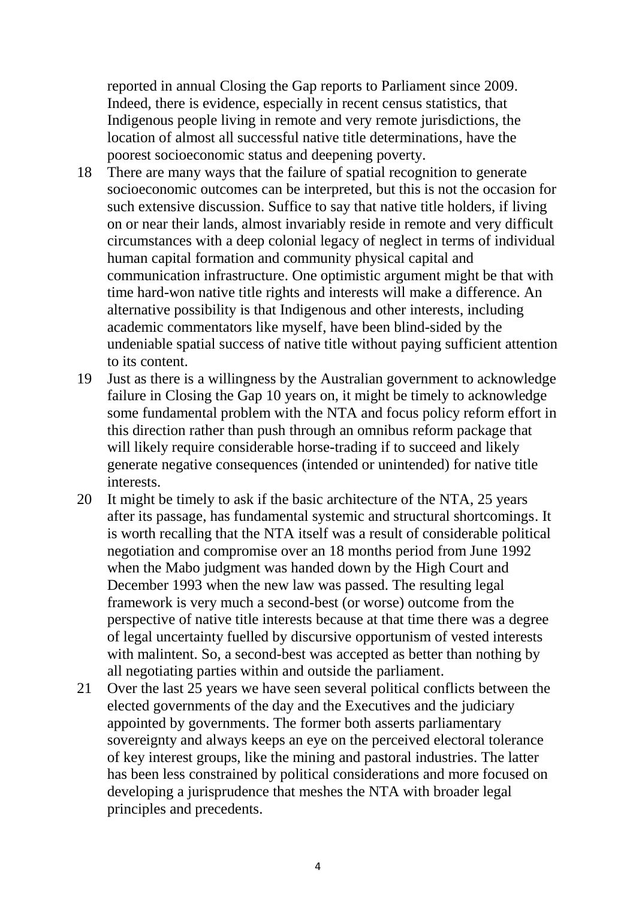reported in annual Closing the Gap reports to Parliament since 2009. Indeed, there is evidence, especially in recent census statistics, that Indigenous people living in remote and very remote jurisdictions, the location of almost all successful native title determinations, have the poorest socioeconomic status and deepening poverty.

- 18 There are many ways that the failure of spatial recognition to generate socioeconomic outcomes can be interpreted, but this is not the occasion for such extensive discussion. Suffice to say that native title holders, if living on or near their lands, almost invariably reside in remote and very difficult circumstances with a deep colonial legacy of neglect in terms of individual human capital formation and community physical capital and communication infrastructure. One optimistic argument might be that with time hard-won native title rights and interests will make a difference. An alternative possibility is that Indigenous and other interests, including academic commentators like myself, have been blind-sided by the undeniable spatial success of native title without paying sufficient attention to its content.
- 19 Just as there is a willingness by the Australian government to acknowledge failure in Closing the Gap 10 years on, it might be timely to acknowledge some fundamental problem with the NTA and focus policy reform effort in this direction rather than push through an omnibus reform package that will likely require considerable horse-trading if to succeed and likely generate negative consequences (intended or unintended) for native title interests.
- 20 It might be timely to ask if the basic architecture of the NTA, 25 years after its passage, has fundamental systemic and structural shortcomings. It is worth recalling that the NTA itself was a result of considerable political negotiation and compromise over an 18 months period from June 1992 when the Mabo judgment was handed down by the High Court and December 1993 when the new law was passed. The resulting legal framework is very much a second-best (or worse) outcome from the perspective of native title interests because at that time there was a degree of legal uncertainty fuelled by discursive opportunism of vested interests with malintent. So, a second-best was accepted as better than nothing by all negotiating parties within and outside the parliament.
- 21 Over the last 25 years we have seen several political conflicts between the elected governments of the day and the Executives and the judiciary appointed by governments. The former both asserts parliamentary sovereignty and always keeps an eye on the perceived electoral tolerance of key interest groups, like the mining and pastoral industries. The latter has been less constrained by political considerations and more focused on developing a jurisprudence that meshes the NTA with broader legal principles and precedents.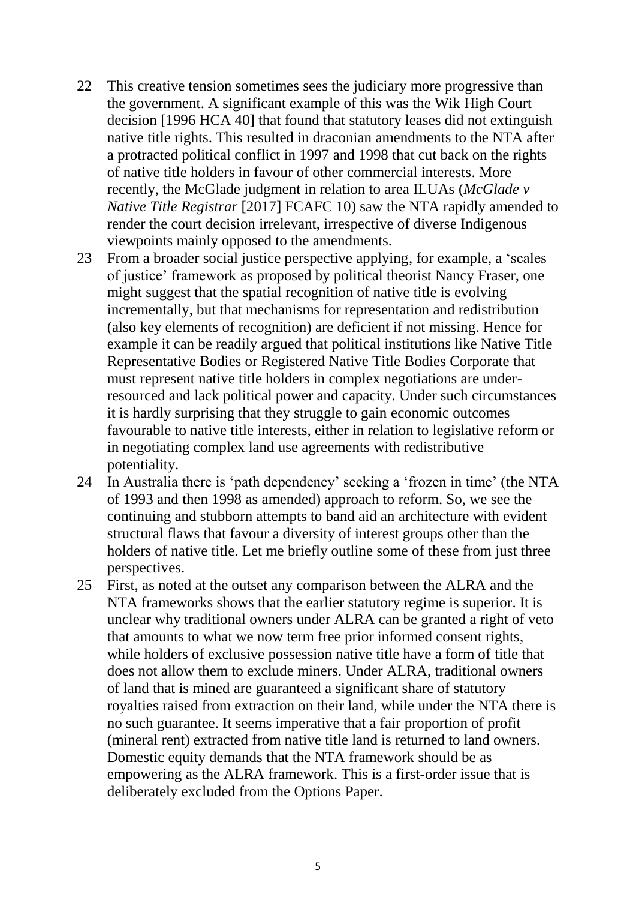- 22 This creative tension sometimes sees the judiciary more progressive than the government. A significant example of this was the Wik High Court decision [1996 HCA 40] that found that statutory leases did not extinguish native title rights. This resulted in draconian amendments to the NTA after a protracted political conflict in 1997 and 1998 that cut back on the rights of native title holders in favour of other commercial interests. More recently, the McGlade judgment in relation to area ILUAs (*McGlade v Native Title Registrar* [2017] FCAFC 10) saw the NTA rapidly amended to render the court decision irrelevant, irrespective of diverse Indigenous viewpoints mainly opposed to the amendments.
- 23 From a broader social justice perspective applying, for example, a 'scales of justice' framework as proposed by political theorist Nancy Fraser, one might suggest that the spatial recognition of native title is evolving incrementally, but that mechanisms for representation and redistribution (also key elements of recognition) are deficient if not missing. Hence for example it can be readily argued that political institutions like Native Title Representative Bodies or Registered Native Title Bodies Corporate that must represent native title holders in complex negotiations are underresourced and lack political power and capacity. Under such circumstances it is hardly surprising that they struggle to gain economic outcomes favourable to native title interests, either in relation to legislative reform or in negotiating complex land use agreements with redistributive potentiality.
- 24 In Australia there is 'path dependency' seeking a 'frozen in time' (the NTA of 1993 and then 1998 as amended) approach to reform. So, we see the continuing and stubborn attempts to band aid an architecture with evident structural flaws that favour a diversity of interest groups other than the holders of native title. Let me briefly outline some of these from just three perspectives.
- 25 First, as noted at the outset any comparison between the ALRA and the NTA frameworks shows that the earlier statutory regime is superior. It is unclear why traditional owners under ALRA can be granted a right of veto that amounts to what we now term free prior informed consent rights, while holders of exclusive possession native title have a form of title that does not allow them to exclude miners. Under ALRA, traditional owners of land that is mined are guaranteed a significant share of statutory royalties raised from extraction on their land, while under the NTA there is no such guarantee. It seems imperative that a fair proportion of profit (mineral rent) extracted from native title land is returned to land owners. Domestic equity demands that the NTA framework should be as empowering as the ALRA framework. This is a first-order issue that is deliberately excluded from the Options Paper.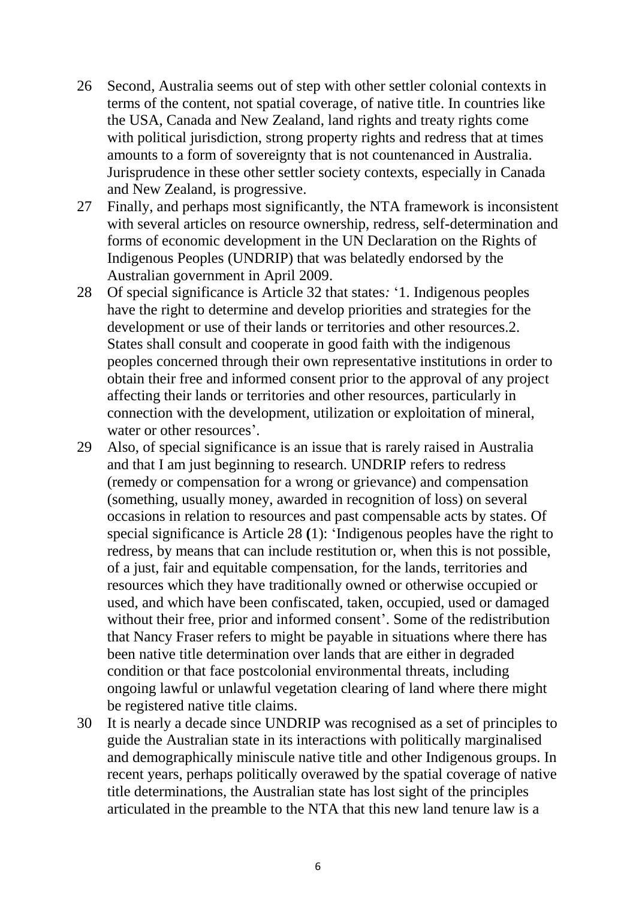- 26 Second, Australia seems out of step with other settler colonial contexts in terms of the content, not spatial coverage, of native title. In countries like the USA, Canada and New Zealand, land rights and treaty rights come with political jurisdiction, strong property rights and redress that at times amounts to a form of sovereignty that is not countenanced in Australia. Jurisprudence in these other settler society contexts, especially in Canada and New Zealand, is progressive.
- 27 Finally, and perhaps most significantly, the NTA framework is inconsistent with several articles on resource ownership, redress, self-determination and forms of economic development in the UN Declaration on the Rights of Indigenous Peoples (UNDRIP) that was belatedly endorsed by the Australian government in April 2009.
- 28 Of special significance is Article 32 that states*:* '1. Indigenous peoples have the right to determine and develop priorities and strategies for the development or use of their lands or territories and other resources.2. States shall consult and cooperate in good faith with the indigenous peoples concerned through their own representative institutions in order to obtain their free and informed consent prior to the approval of any project affecting their lands or territories and other resources, particularly in connection with the development, utilization or exploitation of mineral, water or other resources'.
- 29 Also, of special significance is an issue that is rarely raised in Australia and that I am just beginning to research. UNDRIP refers to redress (remedy or compensation for a wrong or grievance) and compensation (something, usually money, awarded in recognition of loss) on several occasions in relation to resources and past compensable acts by states. Of special significance is Article 28 **(**1): 'Indigenous peoples have the right to redress, by means that can include restitution or, when this is not possible, of a just, fair and equitable compensation, for the lands, territories and resources which they have traditionally owned or otherwise occupied or used, and which have been confiscated, taken, occupied, used or damaged without their free, prior and informed consent'. Some of the redistribution that Nancy Fraser refers to might be payable in situations where there has been native title determination over lands that are either in degraded condition or that face postcolonial environmental threats, including ongoing lawful or unlawful vegetation clearing of land where there might be registered native title claims.
- 30 It is nearly a decade since UNDRIP was recognised as a set of principles to guide the Australian state in its interactions with politically marginalised and demographically miniscule native title and other Indigenous groups. In recent years, perhaps politically overawed by the spatial coverage of native title determinations, the Australian state has lost sight of the principles articulated in the preamble to the NTA that this new land tenure law is a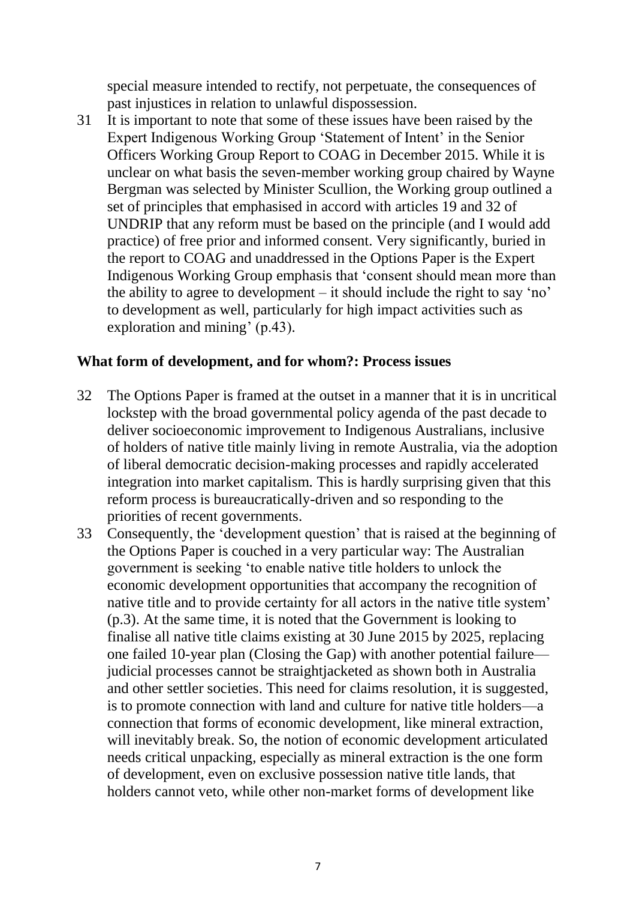special measure intended to rectify, not perpetuate, the consequences of past injustices in relation to unlawful dispossession.

31 It is important to note that some of these issues have been raised by the Expert Indigenous Working Group 'Statement of Intent' in the Senior Officers Working Group Report to COAG in December 2015. While it is unclear on what basis the seven-member working group chaired by Wayne Bergman was selected by Minister Scullion, the Working group outlined a set of principles that emphasised in accord with articles 19 and 32 of UNDRIP that any reform must be based on the principle (and I would add practice) of free prior and informed consent. Very significantly, buried in the report to COAG and unaddressed in the Options Paper is the Expert Indigenous Working Group emphasis that 'consent should mean more than the ability to agree to development – it should include the right to say 'no' to development as well, particularly for high impact activities such as exploration and mining' (p.43).

### **What form of development, and for whom?: Process issues**

- 32 The Options Paper is framed at the outset in a manner that it is in uncritical lockstep with the broad governmental policy agenda of the past decade to deliver socioeconomic improvement to Indigenous Australians, inclusive of holders of native title mainly living in remote Australia, via the adoption of liberal democratic decision-making processes and rapidly accelerated integration into market capitalism. This is hardly surprising given that this reform process is bureaucratically-driven and so responding to the priorities of recent governments.
- 33 Consequently, the 'development question' that is raised at the beginning of the Options Paper is couched in a very particular way: The Australian government is seeking 'to enable native title holders to unlock the economic development opportunities that accompany the recognition of native title and to provide certainty for all actors in the native title system' (p.3). At the same time, it is noted that the Government is looking to finalise all native title claims existing at 30 June 2015 by 2025, replacing one failed 10-year plan (Closing the Gap) with another potential failure judicial processes cannot be straightjacketed as shown both in Australia and other settler societies. This need for claims resolution, it is suggested, is to promote connection with land and culture for native title holders—a connection that forms of economic development, like mineral extraction, will inevitably break. So, the notion of economic development articulated needs critical unpacking, especially as mineral extraction is the one form of development, even on exclusive possession native title lands, that holders cannot veto, while other non-market forms of development like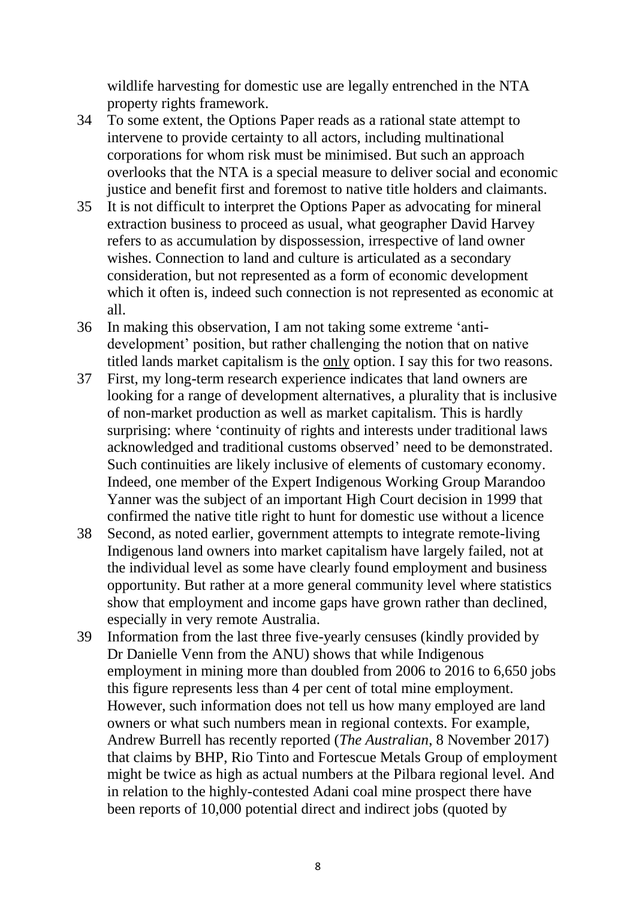wildlife harvesting for domestic use are legally entrenched in the NTA property rights framework.

- 34 To some extent, the Options Paper reads as a rational state attempt to intervene to provide certainty to all actors, including multinational corporations for whom risk must be minimised. But such an approach overlooks that the NTA is a special measure to deliver social and economic justice and benefit first and foremost to native title holders and claimants.
- 35 It is not difficult to interpret the Options Paper as advocating for mineral extraction business to proceed as usual, what geographer David Harvey refers to as accumulation by dispossession, irrespective of land owner wishes. Connection to land and culture is articulated as a secondary consideration, but not represented as a form of economic development which it often is, indeed such connection is not represented as economic at all.
- 36 In making this observation, I am not taking some extreme 'antidevelopment' position, but rather challenging the notion that on native titled lands market capitalism is the only option. I say this for two reasons.
- 37 First, my long-term research experience indicates that land owners are looking for a range of development alternatives, a plurality that is inclusive of non-market production as well as market capitalism. This is hardly surprising: where 'continuity of rights and interests under traditional laws acknowledged and traditional customs observed' need to be demonstrated. Such continuities are likely inclusive of elements of customary economy. Indeed, one member of the Expert Indigenous Working Group Marandoo Yanner was the subject of an important High Court decision in 1999 that confirmed the native title right to hunt for domestic use without a licence
- 38 Second, as noted earlier, government attempts to integrate remote-living Indigenous land owners into market capitalism have largely failed, not at the individual level as some have clearly found employment and business opportunity. But rather at a more general community level where statistics show that employment and income gaps have grown rather than declined, especially in very remote Australia.
- 39 Information from the last three five-yearly censuses (kindly provided by Dr Danielle Venn from the ANU) shows that while Indigenous employment in mining more than doubled from 2006 to 2016 to 6,650 jobs this figure represents less than 4 per cent of total mine employment. However, such information does not tell us how many employed are land owners or what such numbers mean in regional contexts. For example, Andrew Burrell has recently reported (*The Australian*, 8 November 2017) that claims by BHP, Rio Tinto and Fortescue Metals Group of employment might be twice as high as actual numbers at the Pilbara regional level. And in relation to the highly-contested Adani coal mine prospect there have been reports of 10,000 potential direct and indirect jobs (quoted by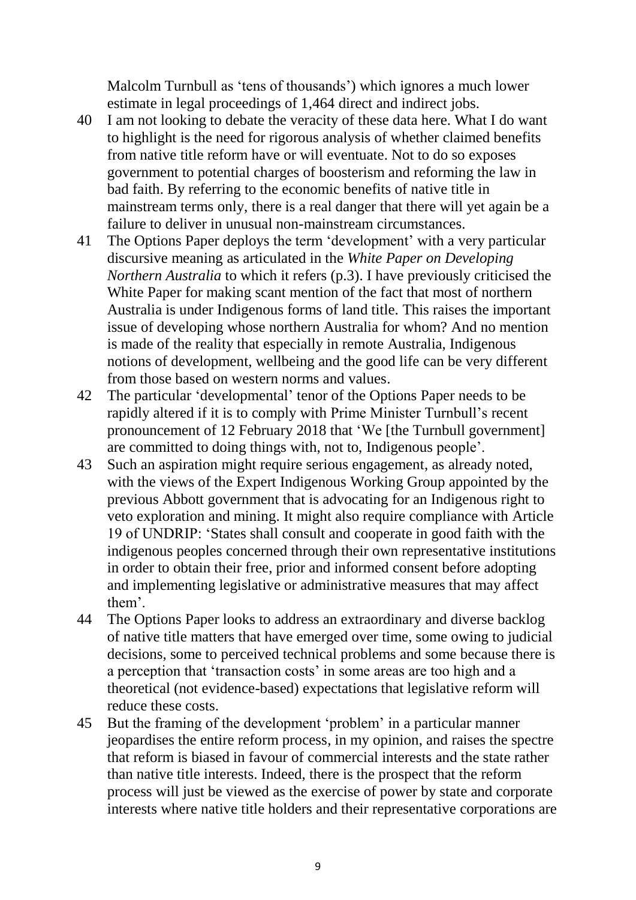Malcolm Turnbull as 'tens of thousands') which ignores a much lower estimate in legal proceedings of 1,464 direct and indirect jobs.

- 40 I am not looking to debate the veracity of these data here. What I do want to highlight is the need for rigorous analysis of whether claimed benefits from native title reform have or will eventuate. Not to do so exposes government to potential charges of boosterism and reforming the law in bad faith. By referring to the economic benefits of native title in mainstream terms only, there is a real danger that there will yet again be a failure to deliver in unusual non-mainstream circumstances.
- 41 The Options Paper deploys the term 'development' with a very particular discursive meaning as articulated in the *White Paper on Developing Northern Australia* to which it refers (p.3). I have previously criticised the White Paper for making scant mention of the fact that most of northern Australia is under Indigenous forms of land title. This raises the important issue of developing whose northern Australia for whom? And no mention is made of the reality that especially in remote Australia, Indigenous notions of development, wellbeing and the good life can be very different from those based on western norms and values.
- 42 The particular 'developmental' tenor of the Options Paper needs to be rapidly altered if it is to comply with Prime Minister Turnbull's recent pronouncement of 12 February 2018 that 'We [the Turnbull government] are committed to doing things with, not to, Indigenous people'.
- 43 Such an aspiration might require serious engagement, as already noted, with the views of the Expert Indigenous Working Group appointed by the previous Abbott government that is advocating for an Indigenous right to veto exploration and mining. It might also require compliance with Article 19 of UNDRIP: 'States shall consult and cooperate in good faith with the indigenous peoples concerned through their own representative institutions in order to obtain their free, prior and informed consent before adopting and implementing legislative or administrative measures that may affect them'.
- 44 The Options Paper looks to address an extraordinary and diverse backlog of native title matters that have emerged over time, some owing to judicial decisions, some to perceived technical problems and some because there is a perception that 'transaction costs' in some areas are too high and a theoretical (not evidence-based) expectations that legislative reform will reduce these costs.
- 45 But the framing of the development 'problem' in a particular manner jeopardises the entire reform process, in my opinion, and raises the spectre that reform is biased in favour of commercial interests and the state rather than native title interests. Indeed, there is the prospect that the reform process will just be viewed as the exercise of power by state and corporate interests where native title holders and their representative corporations are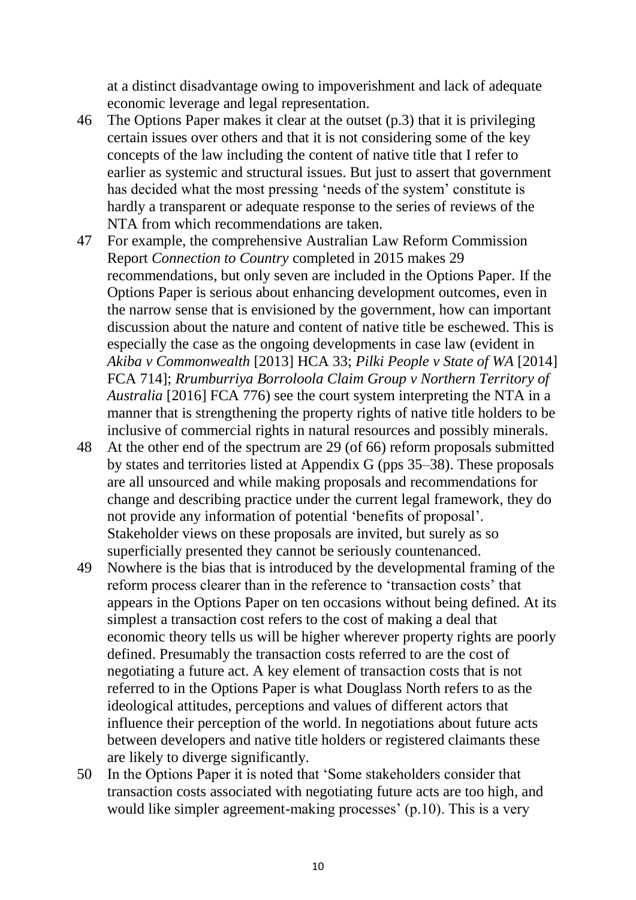at a distinct disadvantage owing to impoverishment and lack of adequate economic leverage and legal representation.

- 46 The Options Paper makes it clear at the outset (p.3) that it is privileging certain issues over others and that it is not considering some of the key concepts of the law including the content of native title that I refer to earlier as systemic and structural issues. But just to assert that government has decided what the most pressing 'needs of the system' constitute is hardly a transparent or adequate response to the series of reviews of the NTA from which recommendations are taken.
- 47 For example, the comprehensive Australian Law Reform Commission Report *Connection to Country* completed in 2015 makes 29 recommendations, but only seven are included in the Options Paper. If the Options Paper is serious about enhancing development outcomes, even in the narrow sense that is envisioned by the government, how can important discussion about the nature and content of native title be eschewed. This is especially the case as the ongoing developments in case law (evident in *Akiba v Commonwealth* [2013] HCA 33; *Pilki People v State of WA* [2014] FCA 714]; *Rrumburriya Borroloola Claim Group v Northern Territory of Australia* [2016] FCA 776) see the court system interpreting the NTA in a manner that is strengthening the property rights of native title holders to be inclusive of commercial rights in natural resources and possibly minerals.
- 48 At the other end of the spectrum are 29 (of 66) reform proposals submitted by states and territories listed at Appendix G (pps 35–38). These proposals are all unsourced and while making proposals and recommendations for change and describing practice under the current legal framework, they do not provide any information of potential 'benefits of proposal'. Stakeholder views on these proposals are invited, but surely as so superficially presented they cannot be seriously countenanced.
- 49 Nowhere is the bias that is introduced by the developmental framing of the reform process clearer than in the reference to 'transaction costs' that appears in the Options Paper on ten occasions without being defined. At its simplest a transaction cost refers to the cost of making a deal that economic theory tells us will be higher wherever property rights are poorly defined. Presumably the transaction costs referred to are the cost of negotiating a future act. A key element of transaction costs that is not referred to in the Options Paper is what Douglass North refers to as the ideological attitudes, perceptions and values of different actors that influence their perception of the world. In negotiations about future acts between developers and native title holders or registered claimants these are likely to diverge significantly.
- 50 In the Options Paper it is noted that 'Some stakeholders consider that transaction costs associated with negotiating future acts are too high, and would like simpler agreement-making processes' (p.10). This is a very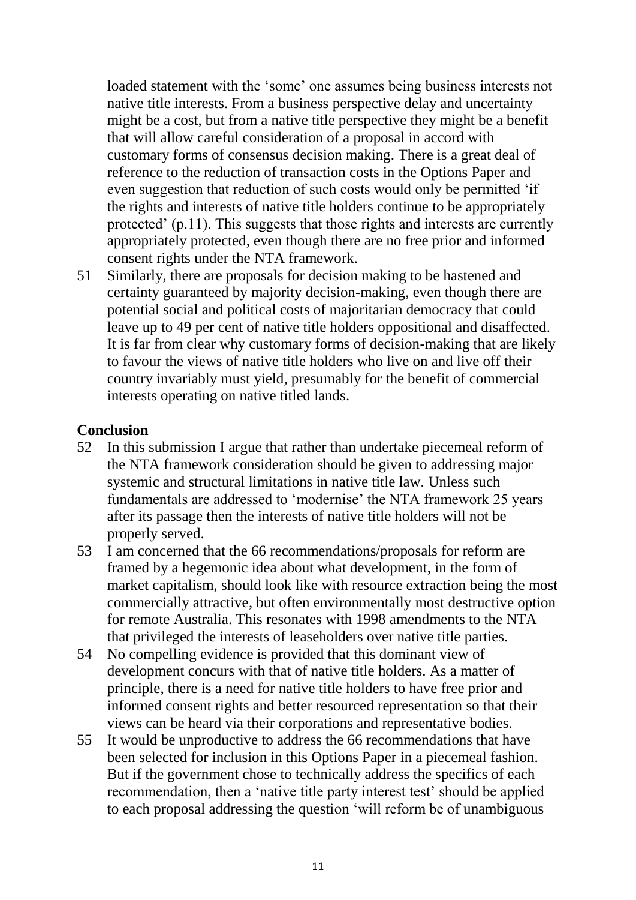loaded statement with the 'some' one assumes being business interests not native title interests. From a business perspective delay and uncertainty might be a cost, but from a native title perspective they might be a benefit that will allow careful consideration of a proposal in accord with customary forms of consensus decision making. There is a great deal of reference to the reduction of transaction costs in the Options Paper and even suggestion that reduction of such costs would only be permitted 'if the rights and interests of native title holders continue to be appropriately protected' (p.11). This suggests that those rights and interests are currently appropriately protected, even though there are no free prior and informed consent rights under the NTA framework.

51 Similarly, there are proposals for decision making to be hastened and certainty guaranteed by majority decision-making, even though there are potential social and political costs of majoritarian democracy that could leave up to 49 per cent of native title holders oppositional and disaffected. It is far from clear why customary forms of decision-making that are likely to favour the views of native title holders who live on and live off their country invariably must yield, presumably for the benefit of commercial interests operating on native titled lands.

#### **Conclusion**

- 52 In this submission I argue that rather than undertake piecemeal reform of the NTA framework consideration should be given to addressing major systemic and structural limitations in native title law. Unless such fundamentals are addressed to 'modernise' the NTA framework 25 years after its passage then the interests of native title holders will not be properly served.
- 53 I am concerned that the 66 recommendations/proposals for reform are framed by a hegemonic idea about what development, in the form of market capitalism, should look like with resource extraction being the most commercially attractive, but often environmentally most destructive option for remote Australia. This resonates with 1998 amendments to the NTA that privileged the interests of leaseholders over native title parties.
- 54 No compelling evidence is provided that this dominant view of development concurs with that of native title holders. As a matter of principle, there is a need for native title holders to have free prior and informed consent rights and better resourced representation so that their views can be heard via their corporations and representative bodies.
- 55 It would be unproductive to address the 66 recommendations that have been selected for inclusion in this Options Paper in a piecemeal fashion. But if the government chose to technically address the specifics of each recommendation, then a 'native title party interest test' should be applied to each proposal addressing the question 'will reform be of unambiguous